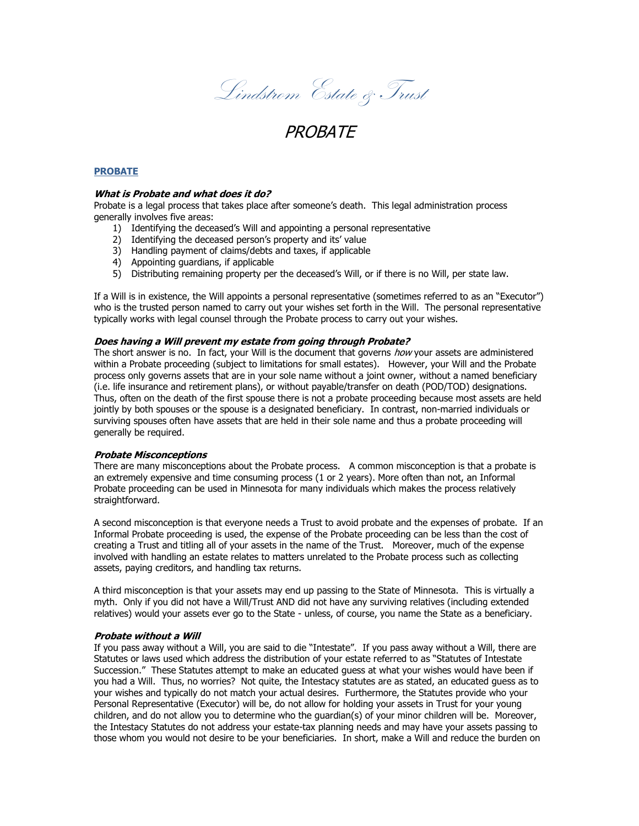Lindstrom Estate & Trust

# **PROBATE**

## **PROBATE**

## **What is Probate and what does it do?**

Probate is a legal process that takes place after someone's death. This legal administration process generally involves five areas:

- 1) Identifying the deceased's Will and appointing a personal representative
- 2) Identifying the deceased person's property and its' value
- 3) Handling payment of claims/debts and taxes, if applicable
- 4) Appointing guardians, if applicable
- 5) Distributing remaining property per the deceased's Will, or if there is no Will, per state law.

If a Will is in existence, the Will appoints a personal representative (sometimes referred to as an "Executor") who is the trusted person named to carry out your wishes set forth in the Will. The personal representative typically works with legal counsel through the Probate process to carry out your wishes.

### **Does having a Will prevent my estate from going through Probate?**

The short answer is no. In fact, your Will is the document that governs *how* your assets are administered within a Probate proceeding (subject to limitations for small estates). However, your Will and the Probate process only governs assets that are in your sole name without a joint owner, without a named beneficiary (i.e. life insurance and retirement plans), or without payable/transfer on death (POD/TOD) designations. Thus, often on the death of the first spouse there is not a probate proceeding because most assets are held jointly by both spouses or the spouse is a designated beneficiary. In contrast, non-married individuals or surviving spouses often have assets that are held in their sole name and thus a probate proceeding will generally be required.

#### **Probate Misconceptions**

There are many misconceptions about the Probate process. A common misconception is that a probate is an extremely expensive and time consuming process (1 or 2 years). More often than not, an Informal Probate proceeding can be used in Minnesota for many individuals which makes the process relatively straightforward.

A second misconception is that everyone needs a Trust to avoid probate and the expenses of probate. If an Informal Probate proceeding is used, the expense of the Probate proceeding can be less than the cost of creating a Trust and titling all of your assets in the name of the Trust. Moreover, much of the expense involved with handling an estate relates to matters unrelated to the Probate process such as collecting assets, paying creditors, and handling tax returns.

A third misconception is that your assets may end up passing to the State of Minnesota. This is virtually a myth. Only if you did not have a Will/Trust AND did not have any surviving relatives (including extended relatives) would your assets ever go to the State - unless, of course, you name the State as a beneficiary.

#### **Probate without a Will**

If you pass away without a Will, you are said to die "Intestate". If you pass away without a Will, there are Statutes or laws used which address the distribution of your estate referred to as "Statutes of Intestate Succession." These Statutes attempt to make an educated guess at what your wishes would have been if you had a Will. Thus, no worries? Not quite, the Intestacy statutes are as stated, an educated guess as to your wishes and typically do not match your actual desires. Furthermore, the Statutes provide who your Personal Representative (Executor) will be, do not allow for holding your assets in Trust for your young children, and do not allow you to determine who the guardian(s) of your minor children will be. Moreover, the Intestacy Statutes do not address your estate-tax planning needs and may have your assets passing to those whom you would not desire to be your beneficiaries. In short, make a Will and reduce the burden on